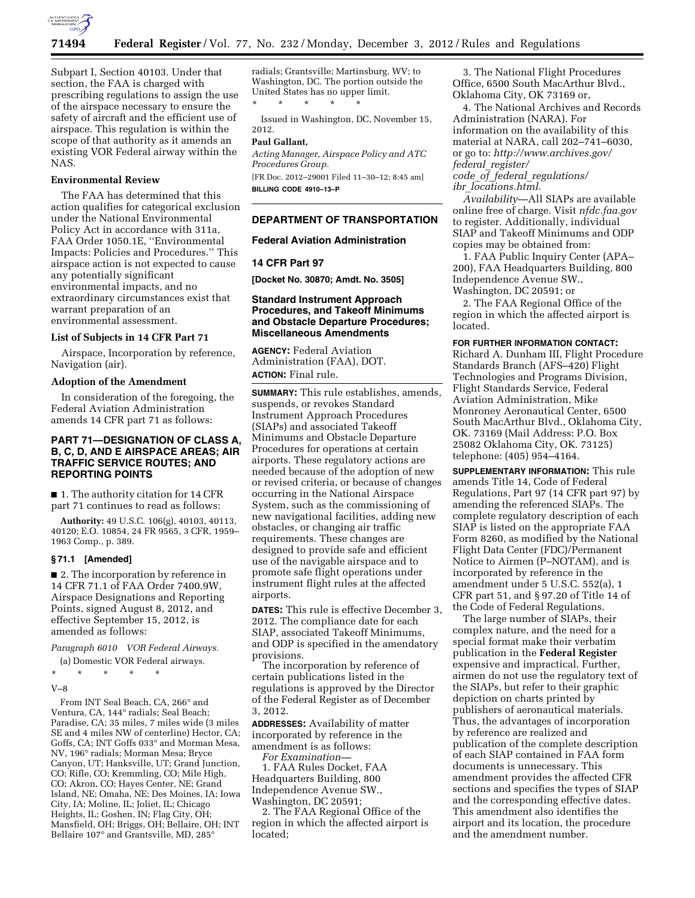

Subpart I, Section 40103. Under that section, the FAA is charged with prescribing regulations to assign the use of the airspace necessary to ensure the safety of aircraft and the efficient use of airspace. This regulation is within the scope of that authority as it amends an existing VOR Federal airway within the NAS.

# **Environmental Review**

The FAA has determined that this action qualifies for categorical exclusion under the National Environmental Policy Act in accordance with 311a, FAA Order 1050.1E, ''Environmental Impacts: Policies and Procedures.'' This airspace action is not expected to cause any potentially significant environmental impacts, and no extraordinary circumstances exist that warrant preparation of an environmental assessment.

## **List of Subjects in 14 CFR Part 71**

Airspace, Incorporation by reference, Navigation (air).

#### **Adoption of the Amendment**

In consideration of the foregoing, the Federal Aviation Administration amends 14 CFR part 71 as follows:

# **PART 71—DESIGNATION OF CLASS A, B, C, D, AND E AIRSPACE AREAS; AIR TRAFFIC SERVICE ROUTES; AND REPORTING POINTS**

■ 1. The authority citation for 14 CFR part 71 continues to read as follows:

**Authority:** 49 U.S.C. 106(g), 40103, 40113, 40120; E.O. 10854, 24 FR 9565, 3 CFR, 1959– 1963 Comp., p. 389.

## **§ 71.1 [Amended]**

■ 2. The incorporation by reference in 14 CFR 71.1 of FAA Order 7400.9W, Airspace Designations and Reporting Points, signed August 8, 2012, and effective September 15, 2012, is amended as follows:

*Paragraph 6010 VOR Federal Airways.* 

(a) Domestic VOR Federal airways.

\* \* \* \* \*

V–8

From INT Seal Beach, CA, 266° and Ventura, CA, 144° radials; Seal Beach; Paradise, CA; 35 miles, 7 miles wide (3 miles SE and 4 miles NW of centerline) Hector, CA; Goffs, CA; INT Goffs 033° and Morman Mesa, NV, 196° radials; Morman Mesa; Bryce Canyon, UT; Hanksville, UT; Grand Junction, CO; Rifle, CO; Kremmling, CO; Mile High, CO; Akron, CO; Hayes Center, NE; Grand Island, NE; Omaha, NE; Des Moines, IA; Iowa City, IA; Moline, IL; Joliet, IL; Chicago Heights, IL; Goshen, IN; Flag City, OH; Mansfield, OH; Briggs, OH; Bellaire, OH; INT Bellaire 107° and Grantsville, MD, 285°

radials; Grantsville; Martinsburg, WV; to Washington, DC. The portion outside the United States has no upper limit. \* \* \* \* \*

Issued in Washington, DC, November 15, 2012.

### **Paul Gallant,**

*Acting Manager, Airspace Policy and ATC Procedures Group.* 

[FR Doc. 2012–29001 Filed 11–30–12; 8:45 am] **BILLING CODE 4910–13–P** 

## **DEPARTMENT OF TRANSPORTATION**

## **Federal Aviation Administration**

### **14 CFR Part 97**

**[Docket No. 30870; Amdt. No. 3505]** 

## **Standard Instrument Approach Procedures, and Takeoff Minimums and Obstacle Departure Procedures; Miscellaneous Amendments**

**AGENCY:** Federal Aviation Administration (FAA), DOT. **ACTION:** Final rule.

**SUMMARY:** This rule establishes, amends, suspends, or revokes Standard Instrument Approach Procedures (SIAPs) and associated Takeoff Minimums and Obstacle Departure Procedures for operations at certain airports. These regulatory actions are needed because of the adoption of new or revised criteria, or because of changes occurring in the National Airspace System, such as the commissioning of new navigational facilities, adding new obstacles, or changing air traffic requirements. These changes are designed to provide safe and efficient use of the navigable airspace and to promote safe flight operations under instrument flight rules at the affected airports.

**DATES:** This rule is effective December 3, 2012. The compliance date for each SIAP, associated Takeoff Minimums, and ODP is specified in the amendatory provisions.

The incorporation by reference of certain publications listed in the regulations is approved by the Director of the Federal Register as of December 3, 2012.

**ADDRESSES:** Availability of matter incorporated by reference in the amendment is as follows: *For Examination—* 

1. FAA Rules Docket, FAA Headquarters Building, 800 Independence Avenue SW., Washington, DC 20591;

2. The FAA Regional Office of the region in which the affected airport is located;

3. The National Flight Procedures Office, 6500 South MacArthur Blvd., Oklahoma City, OK 73169 or,

4. The National Archives and Records Administration (NARA). For information on the availability of this material at NARA, call 202–741–6030, or go to: *[http://www.archives.gov/](http://www.archives.gov/federal_register/code_of_federal_regulations/ibr_locations.html)  federal*\_*[register/](http://www.archives.gov/federal_register/code_of_federal_regulations/ibr_locations.html)  code*\_*of*\_*federal*\_*[regulations/](http://www.archives.gov/federal_register/code_of_federal_regulations/ibr_locations.html)* 

*ibr*\_*[locations.html.](http://www.archives.gov/federal_register/code_of_federal_regulations/ibr_locations.html)* 

*Availability*—All SIAPs are available online free of charge. Visit *nfdc.faa.gov*  to register. Additionally, individual SIAP and Takeoff Minimums and ODP copies may be obtained from:

1. FAA Public Inquiry Center (APA– 200), FAA Headquarters Building, 800 Independence Avenue SW., Washington, DC 20591; or

2. The FAA Regional Office of the region in which the affected airport is located.

**FOR FURTHER INFORMATION CONTACT:**  Richard A. Dunham III, Flight Procedure Standards Branch (AFS–420) Flight Technologies and Programs Division, Flight Standards Service, Federal Aviation Administration, Mike Monroney Aeronautical Center, 6500 South MacArthur Blvd., Oklahoma City, OK. 73169 (Mail Address: P.O. Box 25082 Oklahoma City, OK. 73125)

telephone: (405) 954–4164.

**SUPPLEMENTARY INFORMATION:** This rule amends Title 14, Code of Federal Regulations, Part 97 (14 CFR part 97) by amending the referenced SIAPs. The complete regulatory description of each SIAP is listed on the appropriate FAA Form 8260, as modified by the National Flight Data Center (FDC)/Permanent Notice to Airmen (P–NOTAM), and is incorporated by reference in the amendment under 5 U.S.C. 552(a), 1 CFR part 51, and § 97.20 of Title 14 of the Code of Federal Regulations.

The large number of SIAPs, their complex nature, and the need for a special format make their verbatim publication in the **Federal Register**  expensive and impractical. Further, airmen do not use the regulatory text of the SIAPs, but refer to their graphic depiction on charts printed by publishers of aeronautical materials. Thus, the advantages of incorporation by reference are realized and publication of the complete description of each SIAP contained in FAA form documents is unnecessary. This amendment provides the affected CFR sections and specifies the types of SIAP and the corresponding effective dates. This amendment also identifies the airport and its location, the procedure and the amendment number.